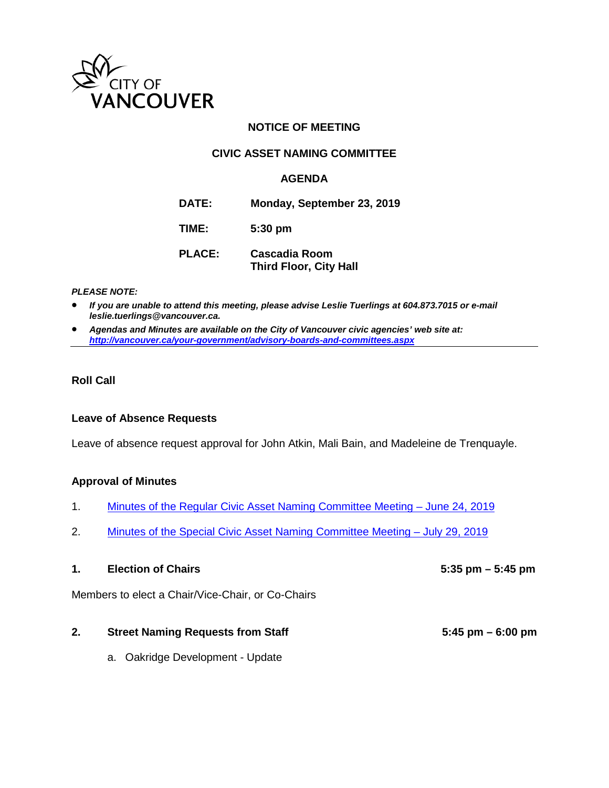

## **NOTICE OF MEETING**

## **CIVIC ASSET NAMING COMMITTEE**

### **AGENDA**

**DATE: Monday, September 23, 2019**

**TIME: 5:30 pm**

**PLACE: Cascadia Room Third Floor, City Hall**

#### *PLEASE NOTE:*

• *If you are unable to attend this meeting, please advise Leslie Tuerlings at 604.873.7015 or e-mail leslie.tuerlings@vancouver.ca.*

• *Agendas and Minutes are available on the City of Vancouver civic agencies' web site at: <http://vancouver.ca/your-government/advisory-boards-and-committees.aspx>*

#### **Roll Call**

#### **Leave of Absence Requests**

Leave of absence request approval for John Atkin, Mali Bain, and Madeleine de Trenquayle.

#### **Approval of Minutes**

- 1. [Minutes of the Regular Civic Asset Naming Committee Meeting June 24, 2019](https://vancouver.ca/docs/council/cian20190624min.pdf)
- 2. [Minutes of the Special Civic Asset Naming Committee Meeting July 29, 2019](https://vancouver.ca/docs/council/cian20190729min.pdf)

### 1. **Election of Chairs** 5:35 pm – 5:45 pm

Members to elect a Chair/Vice-Chair, or Co-Chairs

#### **2. Street Naming Requests from Staff 5:45 pm – 6:00 pm**

a. Oakridge Development - Update